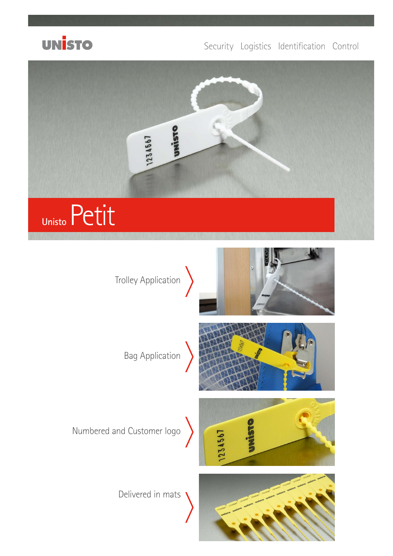

### Security Logistics Identification Control

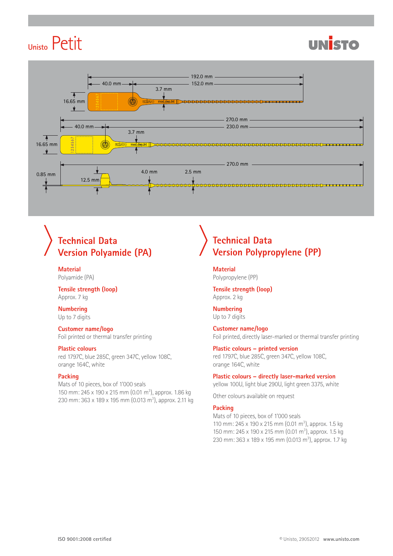# **Unisto** Petit





## **Technical Data Version Polyamide (PA)**

**Material** Polyamide (PA)

**Tensile strength (loop)** Approx. 7 kg

#### **Numbering** Up to 7 digits

**Customer name/logo**

Foil printed or thermal transfer printing

#### **Plastic colours**

red 1797C, blue 285C, green 347C, yellow 108C, orange 164C, white

#### **Packing**

Mats of 10 pieces, box of 1'000 seals 150 mm: 245 x 190 x 215 mm (0.01 m<sup>3</sup>), approx. 1.86 kg 230 mm: 363 x 189 x 195 mm (0.013 m<sup>3</sup>), approx. 2.11 kg

### **Technical Data Version Polypropylene (PP)**

**Material** Polypropylene (PP)

**Tensile strength (loop)** Approx. 2 kg

**Numbering** Up to 7 digits

**Customer name/logo** Foil printed, directly laser-marked or thermal transfer printing

**Plastic colours – printed version** red 1797C, blue 285C, green 347C, yellow 108C, orange 164C, white

**Plastic colours – directly laser-marked version** yellow 100U, light blue 290U, light green 3375, white

Other colours available on request

#### **Packing**

Mats of 10 pieces, box of 1'000 seals 110 mm: 245 x 190 x 215 mm (0.01 m<sup>3</sup>), approx. 1.5 kg 150 mm: 245 x 190 x 215 mm (0.01 m<sup>3</sup>), approx. 1.5 kg 230 mm: 363 x 189 x 195 mm (0.013 m<sup>3</sup>), approx. 1.7 kg